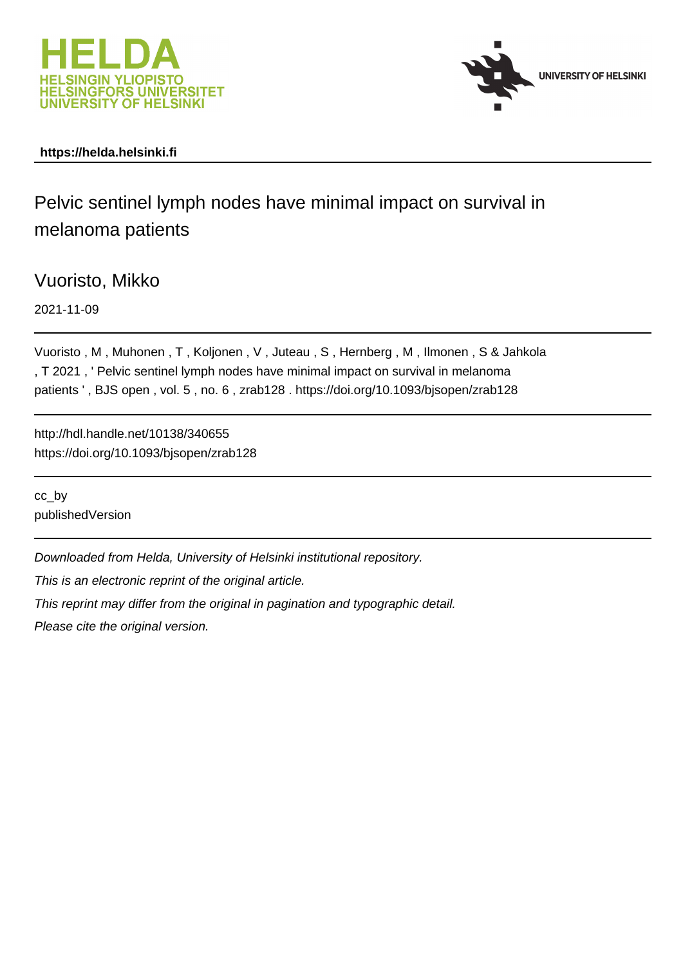



# **https://helda.helsinki.fi**

Pelvic sentinel lymph nodes have minimal impact on survival in melanoma patients

Vuoristo, Mikko

2021-11-09

Vuoristo , M , Muhonen , T , Koljonen , V , Juteau , S , Hernberg , M , Ilmonen , S & Jahkola , T 2021 , ' Pelvic sentinel lymph nodes have minimal impact on survival in melanoma patients ' , BJS open , vol. 5 , no. 6 , zrab128 . https://doi.org/10.1093/bjsopen/zrab128

http://hdl.handle.net/10138/340655 https://doi.org/10.1093/bjsopen/zrab128

cc\_by publishedVersion

Downloaded from Helda, University of Helsinki institutional repository.

This is an electronic reprint of the original article.

This reprint may differ from the original in pagination and typographic detail.

Please cite the original version.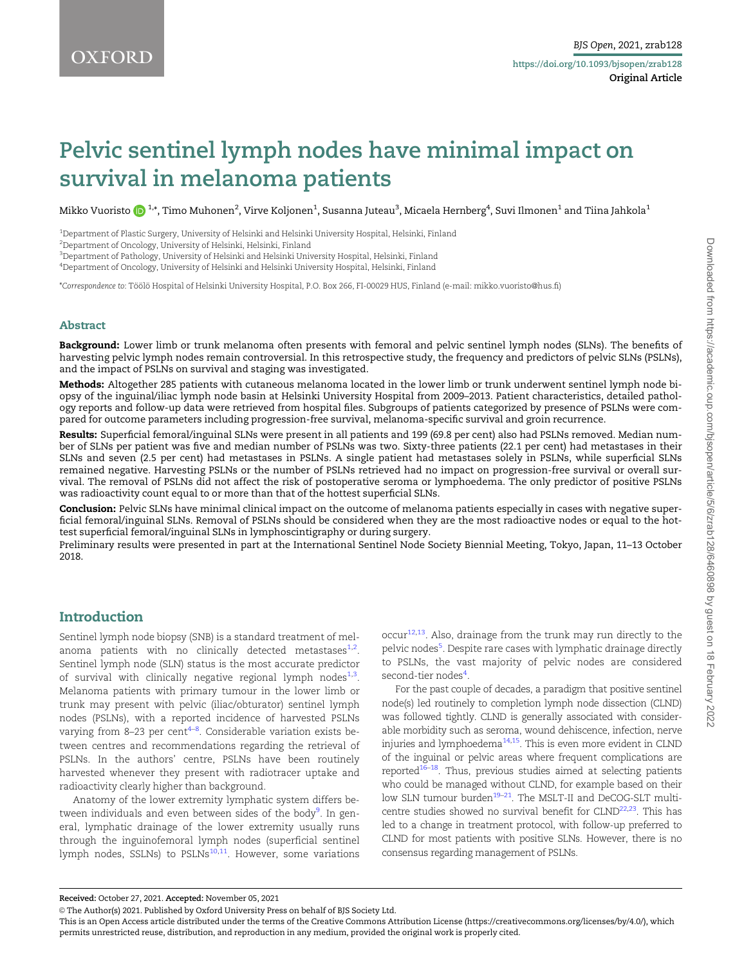# Pelvic sentinel lymph nodes have minimal impact on survival in melanoma patients

Mikko Vuoristo  $\bigodot^{1,*}$ , Timo Muhonen $^2$ , Virve Koljonen $^1$ , Susanna Juteau $^3$ , Micaela Hernberg $^4$ , Suvi Ilmonen $^1$  and Tiina Jahkola $^1$ 

1 Department of Plastic Surgery, University of Helsinki and Helsinki University Hospital, Helsinki, Finland

 $^{2}$ Department of Oncology, University of Helsinki, Helsinki, Finland

 $^3$ Department of Pathology, University of Helsinki and Helsinki University Hospital, Helsinki, Finland

4 Department of Oncology, University of Helsinki and Helsinki University Hospital, Helsinki, Finland

\*Correspondence to: To¨ o¨ lo¨ Hospital of Helsinki University Hospital, P.O. Box 266, FI-00029 HUS, Finland (e-mail: mikko.vuoristo@hus.fi)

#### Abstract

Background: Lower limb or trunk melanoma often presents with femoral and pelvic sentinel lymph nodes (SLNs). The benefits of harvesting pelvic lymph nodes remain controversial. In this retrospective study, the frequency and predictors of pelvic SLNs (PSLNs), and the impact of PSLNs on survival and staging was investigated.

Methods: Altogether 285 patients with cutaneous melanoma located in the lower limb or trunk underwent sentinel lymph node biopsy of the inguinal/iliac lymph node basin at Helsinki University Hospital from 2009–2013. Patient characteristics, detailed pathology reports and follow-up data were retrieved from hospital files. Subgroups of patients categorized by presence of PSLNs were compared for outcome parameters including progression-free survival, melanoma-specific survival and groin recurrence.

Results: Superficial femoral/inguinal SLNs were present in all patients and 199 (69.8 per cent) also had PSLNs removed. Median number of SLNs per patient was five and median number of PSLNs was two. Sixty-three patients (22.1 per cent) had metastases in their SLNs and seven (2.5 per cent) had metastases in PSLNs. A single patient had metastases solely in PSLNs, while superficial SLNs remained negative. Harvesting PSLNs or the number of PSLNs retrieved had no impact on progression-free survival or overall survival. The removal of PSLNs did not affect the risk of postoperative seroma or lymphoedema. The only predictor of positive PSLNs was radioactivity count equal to or more than that of the hottest superficial SLNs.

Conclusion: Pelvic SLNs have minimal clinical impact on the outcome of melanoma patients especially in cases with negative superficial femoral/inguinal SLNs. Removal of PSLNs should be considered when they are the most radioactive nodes or equal to the hottest superficial femoral/inguinal SLNs in lymphoscintigraphy or during surgery.

Preliminary results were presented in part at the International Sentinel Node Society Biennial Meeting, Tokyo, Japan, 11–13 October 2018.

# Introduction

Sentinel lymph node biopsy (SNB) is a standard treatment of melanoma patients with no clinically detected metastases $^{1,2}.$ Sentinel lymph node (SLN) status is the most accurate predictor of survival with clinically negative regional lymph nodes<sup>1,3</sup>. Melanoma patients with primary tumour in the lower limb or trunk may present with pelvic (iliac/obturator) sentinel lymph nodes (PSLNs), with a reported incidence of harvested PSLNs varying from 8–23 per cent<sup>4–8</sup>. Considerable variation exists between centres and recommendations regarding the retrieval of PSLNs. In the authors' centre, PSLNs have been routinely harvested whenever they present with radiotracer uptake and radioactivity clearly higher than background.

Anatomy of the lower extremity lymphatic system differs between individuals and even between sides of the body<sup>9</sup>. In general, lymphatic drainage of the lower extremity usually runs through the inguinofemoral lymph nodes (superficial sentinel lymph nodes, SSLNs) to PSLNs<sup>10,11</sup>. However, some variations

 $\text{occur}^{12,13}$ . Also, drainage from the trunk may run directly to the pelvic nodes<sup>5</sup>. Despite rare cases with lymphatic drainage directly to PSLNs, the vast majority of pelvic nodes are considered second-tier nodes<sup>4</sup>.

For the past couple of decades, a paradigm that positive sentinel node(s) led routinely to completion lymph node dissection (CLND) was followed tightly. CLND is generally associated with considerable morbidity such as seroma, wound dehiscence, infection, nerve injuries and lymphoedema $14,15$ . This is even more evident in CLND of the inguinal or pelvic areas where frequent complications are reported $16-18$ . Thus, previous studies aimed at selecting patients who could be managed without CLND, for example based on their low SLN tumour burden<sup>19–21</sup>. The MSLT-II and DeCOG-SLT multicentre studies showed no survival benefit for CLND<sup>22,23</sup>. This has led to a change in treatment protocol, with follow-up preferred to CLND for most patients with positive SLNs. However, there is no consensus regarding management of PSLNs.

Received: October 27, 2021. Accepted: November 05, 2021

<sup>©</sup> The Author(s) 2021. Published by Oxford University Press on behalf of BJS Society Ltd.

This is an Open Access article distributed under the terms of the Creative Commons Attribution License (https://creativecommons.org/licenses/by/4.0/), which permits unrestricted reuse, distribution, and reproduction in any medium, provided the original work is properly cited.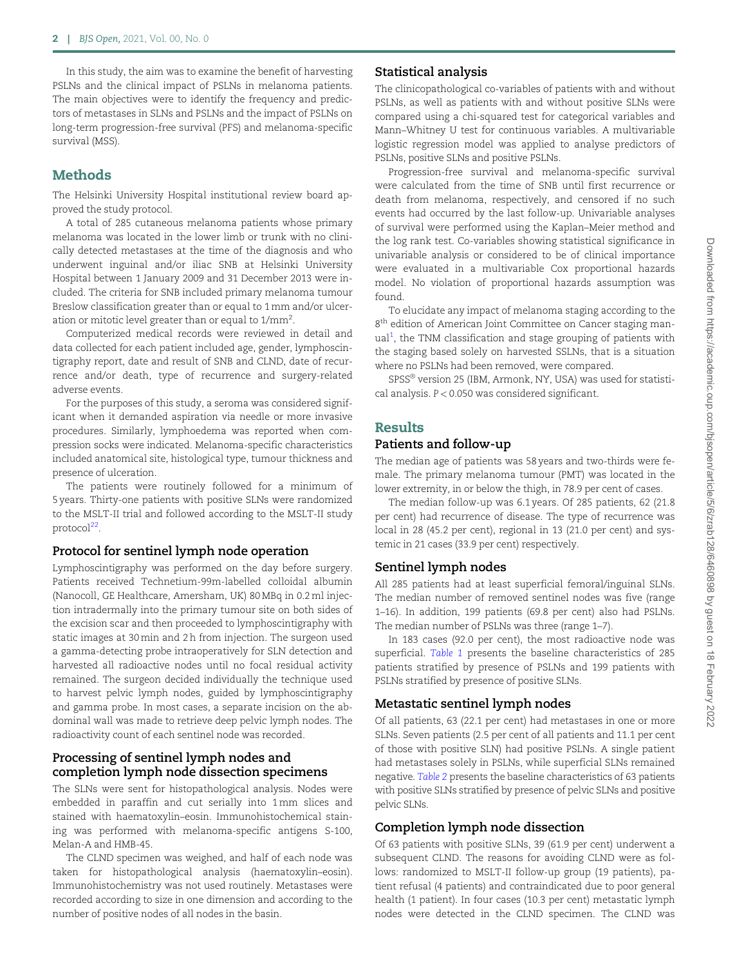In this study, the aim was to examine the benefit of harvesting PSLNs and the clinical impact of PSLNs in melanoma patients. The main objectives were to identify the frequency and predictors of metastases in SLNs and PSLNs and the impact of PSLNs on long-term progression-free survival (PFS) and melanoma-specific survival (MSS).

# Methods

The Helsinki University Hospital institutional review board approved the study protocol.

A total of 285 cutaneous melanoma patients whose primary melanoma was located in the lower limb or trunk with no clinically detected metastases at the time of the diagnosis and who underwent inguinal and/or iliac SNB at Helsinki University Hospital between 1 January 2009 and 31 December 2013 were included. The criteria for SNB included primary melanoma tumour Breslow classification greater than or equal to 1 mm and/or ulceration or mitotic level greater than or equal to 1/mm $^2\!$ .

Computerized medical records were reviewed in detail and data collected for each patient included age, gender, lymphoscintigraphy report, date and result of SNB and CLND, date of recurrence and/or death, type of recurrence and surgery-related adverse events.

For the purposes of this study, a seroma was considered significant when it demanded aspiration via needle or more invasive procedures. Similarly, lymphoedema was reported when compression socks were indicated. Melanoma-specific characteristics included anatomical site, histological type, tumour thickness and presence of ulceration.

The patients were routinely followed for a minimum of 5 years. Thirty-one patients with positive SLNs were randomized to the MSLT-II trial and followed according to the MSLT-II study protocol $^{22}$ .

## Protocol for sentinel lymph node operation

Lymphoscintigraphy was performed on the day before surgery. Patients received Technetium-99m-labelled colloidal albumin (Nanocoll, GE Healthcare, Amersham, UK) 80 MBq in 0.2 ml injection intradermally into the primary tumour site on both sides of the excision scar and then proceeded to lymphoscintigraphy with static images at 30 min and 2 h from injection. The surgeon used a gamma-detecting probe intraoperatively for SLN detection and harvested all radioactive nodes until no focal residual activity remained. The surgeon decided individually the technique used to harvest pelvic lymph nodes, guided by lymphoscintigraphy and gamma probe. In most cases, a separate incision on the abdominal wall was made to retrieve deep pelvic lymph nodes. The radioactivity count of each sentinel node was recorded.

### Processing of sentinel lymph nodes and completion lymph node dissection specimens

The SLNs were sent for histopathological analysis. Nodes were embedded in paraffin and cut serially into 1 mm slices and stained with haematoxylin–eosin. Immunohistochemical staining was performed with melanoma-specific antigens S-100, Melan-A and HMB-45.

The CLND specimen was weighed, and half of each node was taken for histopathological analysis (haematoxylin–eosin). Immunohistochemistry was not used routinely. Metastases were recorded according to size in one dimension and according to the number of positive nodes of all nodes in the basin.

## Statistical analysis

The clinicopathological co-variables of patients with and without PSLNs, as well as patients with and without positive SLNs were compared using a chi-squared test for categorical variables and Mann–Whitney U test for continuous variables. A multivariable logistic regression model was applied to analyse predictors of PSLNs, positive SLNs and positive PSLNs.

Progression-free survival and melanoma-specific survival were calculated from the time of SNB until first recurrence or death from melanoma, respectively, and censored if no such events had occurred by the last follow-up. Univariable analyses of survival were performed using the Kaplan–Meier method and the log rank test. Co-variables showing statistical significance in univariable analysis or considered to be of clinical importance were evaluated in a multivariable Cox proportional hazards model. No violation of proportional hazards assumption was found.

To elucidate any impact of melanoma staging according to the 8th edition of American Joint Committee on Cancer staging manual<sup>1</sup>, the TNM classification and stage grouping of patients with the staging based solely on harvested SSLNs, that is a situation where no PSLNs had been removed, were compared.

SPSS® version 25 (IBM, Armonk, NY, USA) was used for statistical analysis. P < 0.050 was considered significant.

# Results

#### Patients and follow-up

The median age of patients was 58 years and two-thirds were female. The primary melanoma tumour (PMT) was located in the lower extremity, in or below the thigh, in 78.9 per cent of cases.

The median follow-up was 6.1 years. Of 285 patients, 62 (21.8 per cent) had recurrence of disease. The type of recurrence was local in 28 (45.2 per cent), regional in 13 (21.0 per cent) and systemic in 21 cases (33.9 per cent) respectively.

## Sentinel lymph nodes

All 285 patients had at least superficial femoral/inguinal SLNs. The median number of removed sentinel nodes was five (range 1–16). In addition, 199 patients (69.8 per cent) also had PSLNs. The median number of PSLNs was three (range 1–7).

In 183 cases (92.0 per cent), the most radioactive node was superficial. Table 1 presents the baseline characteristics of 285 patients stratified by presence of PSLNs and 199 patients with PSLNs stratified by presence of positive SLNs.

## Metastatic sentinel lymph nodes

Of all patients, 63 (22.1 per cent) had metastases in one or more SLNs. Seven patients (2.5 per cent of all patients and 11.1 per cent of those with positive SLN) had positive PSLNs. A single patient had metastases solely in PSLNs, while superficial SLNs remained negative. Table 2 presents the baseline characteristics of 63 patients with positive SLNs stratified by presence of pelvic SLNs and positive pelvic SLNs.

## Completion lymph node dissection

Of 63 patients with positive SLNs, 39 (61.9 per cent) underwent a subsequent CLND. The reasons for avoiding CLND were as follows: randomized to MSLT-II follow-up group (19 patients), patient refusal (4 patients) and contraindicated due to poor general health (1 patient). In four cases (10.3 per cent) metastatic lymph nodes were detected in the CLND specimen. The CLND was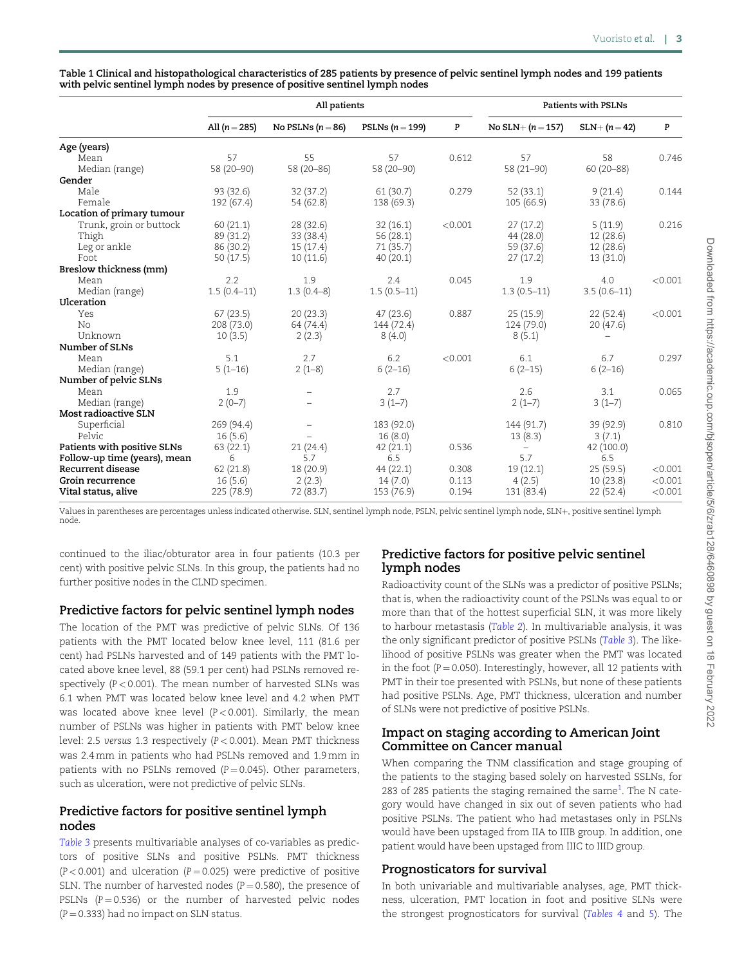Table 1 Clinical and histopathological characteristics of 285 patients by presence of pelvic sentinel lymph nodes and 199 patients with pelvic sentinel lymph nodes by presence of positive sentinel lymph nodes

|                              | All patients    |                     |                   | <b>Patients with PSLNs</b> |                          |               |         |
|------------------------------|-----------------|---------------------|-------------------|----------------------------|--------------------------|---------------|---------|
|                              | All $(n = 285)$ | No PSLNs $(n = 86)$ | PSLNs $(n = 199)$ | P                          | No SLN+ $(n = 157)$      | $SLN+ (n=42)$ | P       |
| Age (years)                  |                 |                     |                   |                            |                          |               |         |
| Mean                         | 57              | 55                  | 57                | 0.612                      | 57                       | 58            | 0.746   |
| Median (range)               | 58 (20-90)      | 58 (20-86)          | 58 (20-90)        |                            | 58 (21-90)               | 60 (20-88)    |         |
| Gender                       |                 |                     |                   |                            |                          |               |         |
| Male                         | 93(32.6)        | 32(37.2)            | 61(30.7)          | 0.279                      | 52(33.1)                 | 9(21.4)       | 0.144   |
| Female                       | 192 (67.4)      | 54 (62.8)           | 138 (69.3)        |                            | 105(66.9)                | 33(78.6)      |         |
| Location of primary tumour   |                 |                     |                   |                            |                          |               |         |
| Trunk, groin or buttock      | 60(21.1)        | 28(32.6)            | 32(16.1)          | < 0.001                    | 27(17.2)                 | 5(11.9)       | 0.216   |
| Thigh                        | 89 (31.2)       | 33 (38.4)           | 56(28.1)          |                            | 44 (28.0)                | 12(28.6)      |         |
| Leg or ankle                 | 86 (30.2)       | 15(17.4)            | 71 (35.7)         |                            | 59 (37.6)                | 12(28.6)      |         |
| Foot                         | 50(17.5)        | 10(11.6)            | 40(20.1)          |                            | 27(17.2)                 | 13(31.0)      |         |
| Breslow thickness (mm)       |                 |                     |                   |                            |                          |               |         |
| Mean                         | 2.2             | 1.9                 | 2.4               | 0.045                      | 1.9                      | 4.0           | < 0.001 |
| Median (range)               | $1.5(0.4-11)$   | $1.3(0.4-8)$        | $1.5(0.5-11)$     |                            | $1.3(0.5-11)$            | $3.5(0.6-11)$ |         |
| Ulceration                   |                 |                     |                   |                            |                          |               |         |
| Yes                          | 67(23.5)        | 20(23.3)            | 47(23.6)          | 0.887                      | 25(15.9)                 | 22(52.4)      | < 0.001 |
| No                           | 208 (73.0)      | 64 (74.4)           | 144 (72.4)        |                            | 124(79.0)                | 20(47.6)      |         |
| Unknown                      | 10(3.5)         | 2(2.3)              | 8(4.0)            |                            | 8(5.1)                   |               |         |
| Number of SLNs               |                 |                     |                   |                            |                          |               |         |
| Mean                         | 5.1             | 2.7                 | 6.2               | < 0.001                    | 6.1                      | 6.7           | 0.297   |
| Median (range)               | $5(1-16)$       | $2(1-8)$            | $6(2-16)$         |                            | $6(2-15)$                | $6(2-16)$     |         |
| Number of pelvic SLNs        |                 |                     |                   |                            |                          |               |         |
| Mean                         | 1.9             | $\qquad \qquad -$   | 2.7               |                            | 2.6                      | 3.1           | 0.065   |
| Median (range)               | $2(0-7)$        |                     | $3(1-7)$          |                            | $2(1-7)$                 | $3(1-7)$      |         |
| Most radioactive SLN         |                 |                     |                   |                            |                          |               |         |
| Superficial                  | 269 (94.4)      |                     | 183 (92.0)        |                            | 144 (91.7)               | 39 (92.9)     | 0.810   |
| Pelvic                       | 16(5.6)         |                     | 16(8.0)           |                            | 13(8.3)                  | 3(7.1)        |         |
| Patients with positive SLNs  | 63 (22.1)       | 21(24.4)            | 42(21.1)          | 0.536                      | $\overline{\phantom{m}}$ | 42 (100.0)    |         |
| Follow-up time (years), mean | 6               | 5.7                 | 6.5               |                            | 5.7                      | 6.5           |         |
| Recurrent disease            | 62(21.8)        | 18 (20.9)           | 44 (22.1)         | 0.308                      | 19(12.1)                 | 25(59.5)      | < 0.001 |
| Groin recurrence             | 16(5.6)         | 2(2.3)              | 14(7.0)           | 0.113                      | 4(2.5)                   | 10(23.8)      | < 0.001 |
| Vital status, alive          | 225(78.9)       | 72 (83.7)           | 153 (76.9)        | 0.194                      | 131 (83.4)               | 22(52.4)      | < 0.001 |

Values in parentheses are percentages unless indicated otherwise. SLN, sentinel lymph node, PSLN, pelvic sentinel lymph node, SLN+, positive sentinel lymph node.

continued to the iliac/obturator area in four patients (10.3 per cent) with positive pelvic SLNs. In this group, the patients had no further positive nodes in the CLND specimen.

# Predictive factors for pelvic sentinel lymph nodes

The location of the PMT was predictive of pelvic SLNs. Of 136 patients with the PMT located below knee level, 111 (81.6 per cent) had PSLNs harvested and of 149 patients with the PMT located above knee level, 88 (59.1 per cent) had PSLNs removed respectively  $(P < 0.001)$ . The mean number of harvested SLNs was 6.1 when PMT was located below knee level and 4.2 when PMT was located above knee level ( $P < 0.001$ ). Similarly, the mean number of PSLNs was higher in patients with PMT below knee level: 2.5 versus 1.3 respectively (P < 0.001). Mean PMT thickness was 2.4 mm in patients who had PSLNs removed and 1.9 mm in patients with no PSLNs removed  $(P = 0.045)$ . Other parameters, such as ulceration, were not predictive of pelvic SLNs.

# Predictive factors for positive sentinel lymph nodes

Table 3 presents multivariable analyses of co-variables as predictors of positive SLNs and positive PSLNs. PMT thickness ( $P < 0.001$ ) and ulceration ( $P = 0.025$ ) were predictive of positive SLN. The number of harvested nodes ( $P = 0.580$ ), the presence of PSLNs ( $P = 0.536$ ) or the number of harvested pelvic nodes  $(P = 0.333)$  had no impact on SLN status.

# Predictive factors for positive pelvic sentinel lymph nodes

Radioactivity count of the SLNs was a predictor of positive PSLNs; that is, when the radioactivity count of the PSLNs was equal to or more than that of the hottest superficial SLN, it was more likely to harbour metastasis (Table 2). In multivariable analysis, it was the only significant predictor of positive PSLNs (Table 3). The likelihood of positive PSLNs was greater when the PMT was located in the foot  $(P = 0.050)$ . Interestingly, however, all 12 patients with PMT in their toe presented with PSLNs, but none of these patients had positive PSLNs. Age, PMT thickness, ulceration and number of SLNs were not predictive of positive PSLNs.

# Impact on staging according to American Joint Committee on Cancer manual

When comparing the TNM classification and stage grouping of the patients to the staging based solely on harvested SSLNs, for 283 of 285 patients the staging remained the same<sup>1</sup>. The N category would have changed in six out of seven patients who had positive PSLNs. The patient who had metastases only in PSLNs would have been upstaged from IIA to IIIB group. In addition, one patient would have been upstaged from IIIC to IIID group.

# Prognosticators for survival

In both univariable and multivariable analyses, age, PMT thickness, ulceration, PMT location in foot and positive SLNs were the strongest prognosticators for survival (Tables 4 and 5). The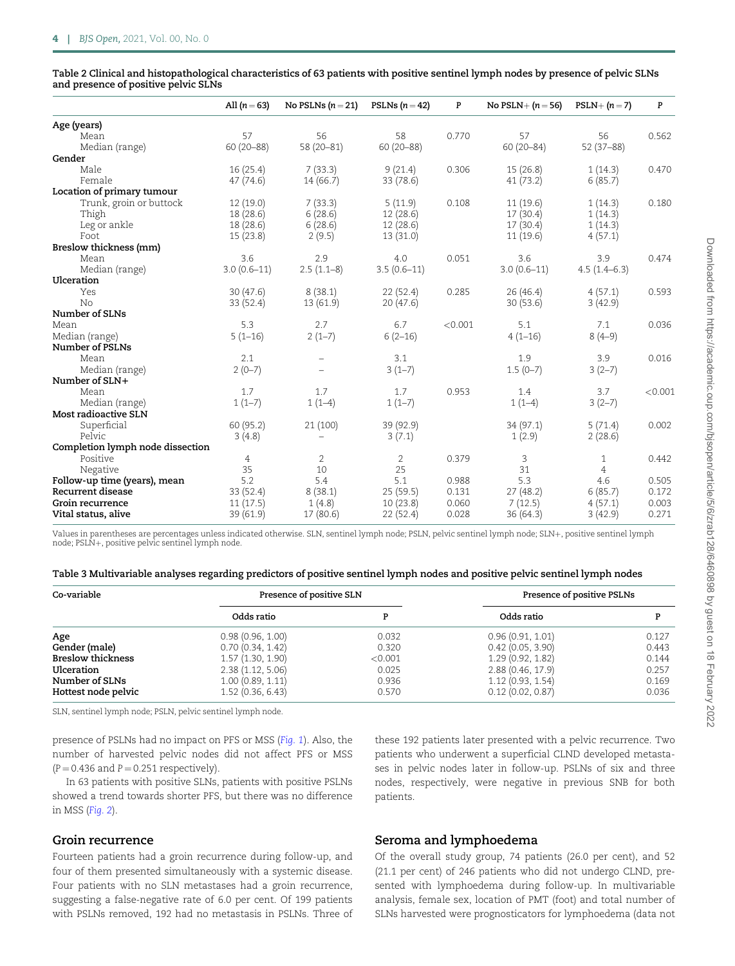| Table 2 Clinical and histopathological characteristics of 63 patients with positive sentinel lymph nodes by presence of pelvic SLNs<br>and presence of positive pelvic SLNs |                                               |  |                                     |  |
|-----------------------------------------------------------------------------------------------------------------------------------------------------------------------------|-----------------------------------------------|--|-------------------------------------|--|
|                                                                                                                                                                             | All $(n=63)$ No PSLNs $(n=21)$ PSLNs $(n=42)$ |  | No PSLN+ $(n = 56)$ PSLN+ $(n = 7)$ |  |
| Age (years)                                                                                                                                                                 |                                               |  |                                     |  |

| Age (years)                      |               |                |               |         |               |                |         |
|----------------------------------|---------------|----------------|---------------|---------|---------------|----------------|---------|
| Mean                             | 57            | 56             | 58            | 0.770   | 57            | 56             | 0.562   |
| Median (range)                   | $60(20 - 88)$ | $58(20-81)$    | $60(20 - 88)$ |         | $60(20 - 84)$ | $52(37-88)$    |         |
| Gender                           |               |                |               |         |               |                |         |
| Male                             | 16(25.4)      | 7(33.3)        | 9(21.4)       | 0.306   | 15 (26.8)     | 1(14.3)        | 0.470   |
| Female                           | 47(74.6)      | 14(66.7)       | 33 (78.6)     |         | 41(73.2)      | 6(85.7)        |         |
| Location of primary tumour       |               |                |               |         |               |                |         |
| Trunk, groin or buttock          | 12(19.0)      | 7(33.3)        | 5(11.9)       | 0.108   | 11(19.6)      | 1(14.3)        | 0.180   |
| Thigh                            | 18(28.6)      | 6(28.6)        | 12(28.6)      |         | 17(30.4)      | 1(14.3)        |         |
| Leg or ankle                     | 18(28.6)      | 6(28.6)        | 12(28.6)      |         | 17(30.4)      | 1(14.3)        |         |
| Foot                             | 15(23.8)      | 2(9.5)         | 13(31.0)      |         | 11(19.6)      | 4(57.1)        |         |
| Breslow thickness (mm)           |               |                |               |         |               |                |         |
| Mean                             | 3.6           | 2.9            | 4.0           | 0.051   | 3.6           | 3.9            | 0.474   |
| Median (range)                   | $3.0(0.6-11)$ | $2.5(1.1-8)$   | $3.5(0.6-11)$ |         | $3.0(0.6-11)$ | $4.5(1.4-6.3)$ |         |
| Ulceration                       |               |                |               |         |               |                |         |
| Yes                              | 30(47.6)      | 8(38.1)        | 22(52.4)      | 0.285   | 26(46.4)      | 4(57.1)        | 0.593   |
| No                               | 33(52.4)      | 13(61.9)       | 20(47.6)      |         | 30(53.6)      | 3(42.9)        |         |
| Number of SLNs                   |               |                |               |         |               |                |         |
| Mean                             | 5.3           | 2.7            | 6.7           | < 0.001 | 5.1           | 7.1            | 0.036   |
| Median (range)                   | $5(1-16)$     | $2(1-7)$       | $6(2-16)$     |         | $4(1-16)$     | $8(4-9)$       |         |
| Number of PSLNs                  |               |                |               |         |               |                |         |
| Mean                             | 2.1           |                | 3.1           |         | 1.9           | 3.9            | 0.016   |
| Median (range)                   | $2(0-7)$      |                | $3(1-7)$      |         | $1.5(0-7)$    | $3(2-7)$       |         |
| Number of SLN+                   |               |                |               |         |               |                |         |
| Mean                             | 1.7           | 1.7            | 1.7           | 0.953   | 1.4           | 3.7            | < 0.001 |
| Median (range)                   | $1(1-7)$      | $1(1-4)$       | $1(1-7)$      |         | $1(1-4)$      | $3(2-7)$       |         |
| Most radioactive SLN             |               |                |               |         |               |                |         |
| Superficial                      | 60 (95.2)     | 21 (100)       | 39 (92.9)     |         | 34(97.1)      | 5(71.4)        | 0.002   |
| Pelvic                           | 3(4.8)        |                | 3(7.1)        |         | 1(2.9)        | 2(28.6)        |         |
| Completion lymph node dissection |               |                |               |         |               |                |         |
| Positive                         | 4             | $\overline{2}$ | 2             | 0.379   | 3             | 1              | 0.442   |
| Negative                         | 35            | 10             | 25            |         | 31            | 4              |         |
| Follow-up time (years), mean     | 5.2           | 5.4            | 5.1           | 0.988   | 5.3           | 4.6            | 0.505   |
| Recurrent disease                | 33(52.4)      | 8(38.1)        | 25(59.5)      | 0.131   | 27(48.2)      | 6(85.7)        | 0.172   |
| Groin recurrence                 | 11(17.5)      | 1(4.8)         | 10(23.8)      | 0.060   | 7(12.5)       | 4(57.1)        | 0.003   |
| Vital status, alive              | 39 (61.9)     | 17(80.6)       | 22 (52.4)     | 0.028   | 36(64.3)      | 3(42.9)        | 0.271   |
|                                  |               |                |               |         |               |                |         |

Values in parentheses are percentages unless indicated otherwise. SLN, sentinel lymph node; PSLN, pelvic sentinel lymph node; SLN+, positive sentinel lymph node; PSLN+, positive pelvic sentinel lymph node.

|  |  |  | Table 3 Multivariable analyses regarding predictors of positive sentinel lymph nodes and positive pelvic sentinel lymph nodes |
|--|--|--|-------------------------------------------------------------------------------------------------------------------------------|
|  |  |  |                                                                                                                               |

| Co-variable              | Presence of positive SLN |         | Presence of positive PSLNs |       |  |
|--------------------------|--------------------------|---------|----------------------------|-------|--|
|                          | Odds ratio               | D       | Odds ratio                 |       |  |
| Age                      | 0.98(0.96, 1.00)         | 0.032   | 0.96(0.91, 1.01)           | 0.127 |  |
| Gender (male)            | 0.70(0.34, 1.42)         | 0.320   | 0.42(0.05, 3.90)           | 0.443 |  |
| <b>Breslow thickness</b> | 1.57(1.30, 1.90)         | < 0.001 | 1.29(0.92, 1.82)           | 0.144 |  |
| Ulceration               | 2.38(1.12, 5.06)         | 0.025   | 2.88(0.46, 17.9)           | 0.257 |  |
| Number of SLNs           | 1.00(0.89, 1.11)         | 0.936   | 1.12(0.93, 1.54)           | 0.169 |  |
| Hottest node pelvic      | 1.52(0.36, 6.43)         | 0.570   | 0.12(0.02, 0.87)           | 0.036 |  |

SLN, sentinel lymph node; PSLN, pelvic sentinel lymph node.

presence of PSLNs had no impact on PFS or MSS (Fig. 1). Also, the number of harvested pelvic nodes did not affect PFS or MSS  $(P = 0.436$  and  $P = 0.251$  respectively).

In 63 patients with positive SLNs, patients with positive PSLNs showed a trend towards shorter PFS, but there was no difference in MSS (Fig. 2).

#### Groin recurrence

Fourteen patients had a groin recurrence during follow-up, and four of them presented simultaneously with a systemic disease. Four patients with no SLN metastases had a groin recurrence, suggesting a false-negative rate of 6.0 per cent. Of 199 patients with PSLNs removed, 192 had no metastasis in PSLNs. Three of these 192 patients later presented with a pelvic recurrence. Two patients who underwent a superficial CLND developed metastases in pelvic nodes later in follow-up. PSLNs of six and three nodes, respectively, were negative in previous SNB for both patients.

## Seroma and lymphoedema

Of the overall study group, 74 patients (26.0 per cent), and 52 (21.1 per cent) of 246 patients who did not undergo CLND, presented with lymphoedema during follow-up. In multivariable analysis, female sex, location of PMT (foot) and total number of SLNs harvested were prognosticators for lymphoedema (data not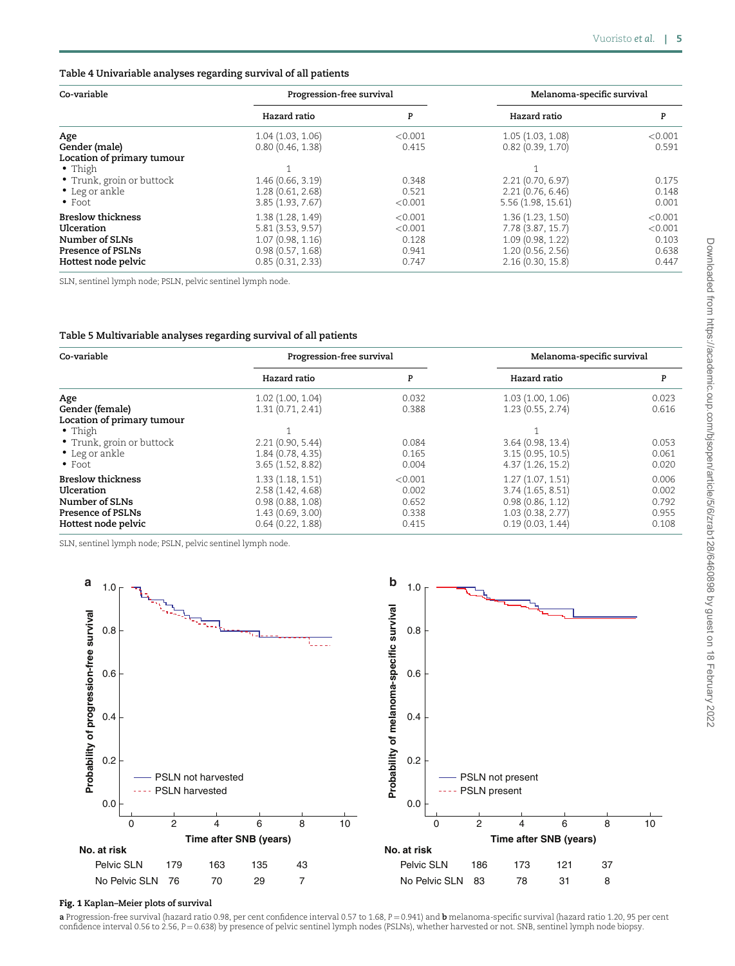#### Table 4 Univariable analyses regarding survival of all patients

| Co-variable                | Progression-free survival |         | Melanoma-specific survival |         |  |
|----------------------------|---------------------------|---------|----------------------------|---------|--|
|                            | Hazard ratio              | P       | Hazard ratio               | P       |  |
| Age                        | 1.04(1.03, 1.06)          | < 0.001 | 1.05 (1.03, 1.08)          | < 0.001 |  |
| Gender (male)              | 0.80(0.46, 1.38)          | 0.415   | 0.82(0.39, 1.70)           | 0.591   |  |
| Location of primary tumour |                           |         |                            |         |  |
| $\bullet$ Thigh            |                           |         |                            |         |  |
| • Trunk, groin or buttock  | 1.46(0.66, 3.19)          | 0.348   | 2.21(0.70, 6.97)           | 0.175   |  |
| • Leg or ankle             | 1.28(0.61, 2.68)          | 0.521   | 2.21(0.76, 6.46)           | 0.148   |  |
| $\bullet$ Foot             | 3.85(1.93, 7.67)          | < 0.001 | 5.56 (1.98, 15.61)         | 0.001   |  |
| <b>Breslow thickness</b>   | 1.38(1.28, 1.49)          | < 0.001 | 1.36(1.23, 1.50)           | < 0.001 |  |
| Ulceration                 | 5.81(3.53, 9.57)          | < 0.001 | 7.78 (3.87, 15.7)          | < 0.001 |  |
| Number of SLNs             | 1.07(0.98, 1.16)          | 0.128   | 1.09 (0.98, 1.22)          | 0.103   |  |
| Presence of PSLNs          | 0.98(0.57, 1.68)          | 0.941   | 1.20(0.56, 2.56)           | 0.638   |  |
| Hottest node pelvic        | 0.85(0.31, 2.33)          | 0.747   | 2.16(0.30, 15.8)           | 0.447   |  |

SLN, sentinel lymph node; PSLN, pelvic sentinel lymph node.

#### Table 5 Multivariable analyses regarding survival of all patients

| Co-variable                | Progression-free survival |         | Melanoma-specific survival |       |  |
|----------------------------|---------------------------|---------|----------------------------|-------|--|
|                            | Hazard ratio              | P       | Hazard ratio               | P     |  |
| Age                        | 1.02(1.00, 1.04)          | 0.032   | 1.03(1.00, 1.06)           | 0.023 |  |
| Gender (female)            | 1.31(0.71, 2.41)          | 0.388   | 1.23(0.55, 2.74)           | 0.616 |  |
| Location of primary tumour |                           |         |                            |       |  |
| • Thigh                    |                           |         |                            |       |  |
| • Trunk, groin or buttock  | 2.21(0.90, 5.44)          | 0.084   | 3.64(0.98, 13.4)           | 0.053 |  |
| • Leg or ankle             | 1.84(0.78, 4.35)          | 0.165   | 3.15(0.95, 10.5)           | 0.061 |  |
| $\bullet$ Foot             | 3.65(1.52, 8.82)          | 0.004   | 4.37(1.26, 15.2)           | 0.020 |  |
| <b>Breslow thickness</b>   | 1.33(1.18, 1.51)          | < 0.001 | 1.27(1.07, 1.51)           | 0.006 |  |
| Ulceration                 | 2.58(1.42, 4.68)          | 0.002   | 3.74(1.65, 8.51)           | 0.002 |  |
| Number of SLNs             | 0.98(0.88, 1.08)          | 0.652   | 0.98(0.86, 1.12)           | 0.792 |  |
| Presence of PSLNs          | 1.43(0.69, 3.00)          | 0.338   | 1.03(0.38, 2.77)           | 0.955 |  |
| Hottest node pelvic        | 0.64(0.22, 1.88)          | 0.415   | 0.19(0.03, 1.44)           | 0.108 |  |

SLN, sentinel lymph node; PSLN, pelvic sentinel lymph node.



#### Fig. 1 Kaplan–Meier plots of survival

a Progression-free survival (hazard ratio 0.98, per cent confidence interval 0.57 to 1.68,  $P = 0.941$ ) and b melanoma-specific survival (hazard ratio 1.20, 95 per cent confidence interval 0.56 to 2.56, P = 0.638) by presence of pelvic sentinel lymph nodes (PSLNs), whether harvested or not. SNB, sentinel lymph node biopsy.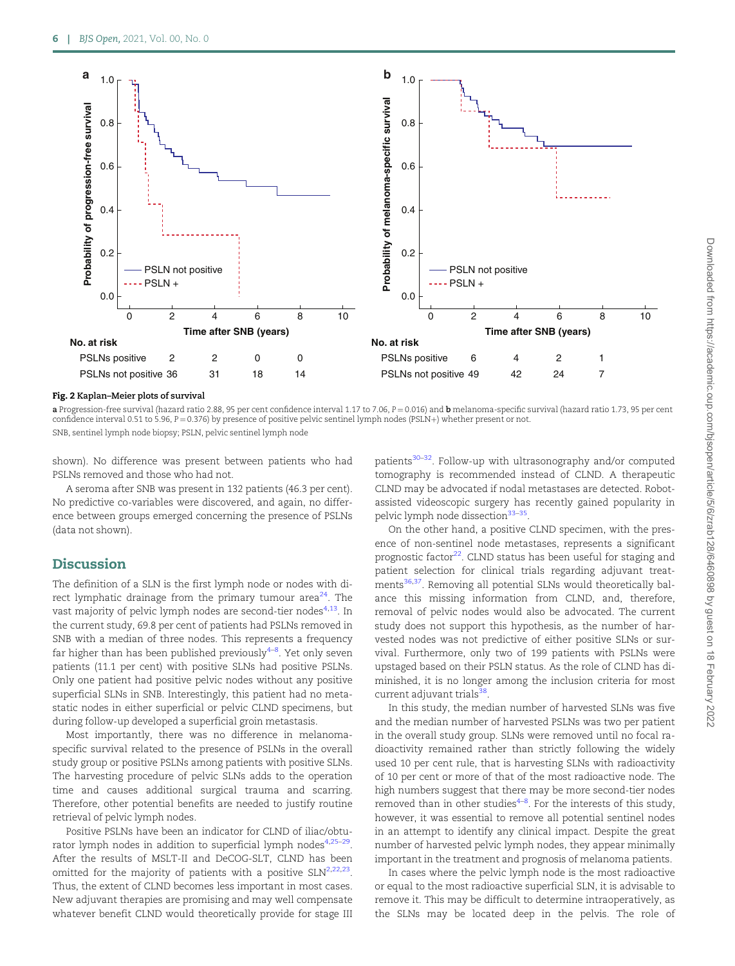

#### Fig. 2 Kaplan–Meier plots of survival

a Progression-free survival (hazard ratio 2.88, 95 per cent confidence interval 1.17 to 7.06,  $P = 0.016$ ) and b melanoma-specific survival (hazard ratio 1.73, 95 per cent confidence interval 0.51 to 5.96, P = 0.376) by presence of positive pelvic sentinel lymph nodes (PSLN+) whether present or not. SNB, sentinel lymph node biopsy; PSLN, pelvic sentinel lymph node

shown). No difference was present between patients who had PSLNs removed and those who had not.

A seroma after SNB was present in 132 patients (46.3 per cent). No predictive co-variables were discovered, and again, no difference between groups emerged concerning the presence of PSLNs (data not shown).

# Discussion

The definition of a SLN is the first lymph node or nodes with direct lymphatic drainage from the primary tumour area $^{24}$ . The vast majority of pelvic lymph nodes are second-tier nodes $4,13$ . In the current study, 69.8 per cent of patients had PSLNs removed in SNB with a median of three nodes. This represents a frequency far higher than has been published previously $^{4-8}$ . Yet only seven patients (11.1 per cent) with positive SLNs had positive PSLNs. Only one patient had positive pelvic nodes without any positive superficial SLNs in SNB. Interestingly, this patient had no metastatic nodes in either superficial or pelvic CLND specimens, but during follow-up developed a superficial groin metastasis.

Most importantly, there was no difference in melanomaspecific survival related to the presence of PSLNs in the overall study group or positive PSLNs among patients with positive SLNs. The harvesting procedure of pelvic SLNs adds to the operation time and causes additional surgical trauma and scarring. Therefore, other potential benefits are needed to justify routine retrieval of pelvic lymph nodes.

Positive PSLNs have been an indicator for CLND of iliac/obturator lymph nodes in addition to superficial lymph nodes<sup>4,25-29</sup>. After the results of MSLT-II and DeCOG-SLT, CLND has been omitted for the majority of patients with a positive  $SLN^{2,22,23}$ . Thus, the extent of CLND becomes less important in most cases. New adjuvant therapies are promising and may well compensate whatever benefit CLND would theoretically provide for stage III

patients<sup>30-32</sup>. Follow-up with ultrasonography and/or computed tomography is recommended instead of CLND. A therapeutic CLND may be advocated if nodal metastases are detected. Robotassisted videoscopic surgery has recently gained popularity in pelvic lymph node dissection<sup>33-35</sup>

On the other hand, a positive CLND specimen, with the presence of non-sentinel node metastases, represents a significant prognostic factor<sup>22</sup>. CLND status has been useful for staging and patient selection for clinical trials regarding adjuvant treatments<sup>36,37</sup>. Removing all potential SLNs would theoretically balance this missing information from CLND, and, therefore, removal of pelvic nodes would also be advocated. The current study does not support this hypothesis, as the number of harvested nodes was not predictive of either positive SLNs or survival. Furthermore, only two of 199 patients with PSLNs were upstaged based on their PSLN status. As the role of CLND has diminished, it is no longer among the inclusion criteria for most current adjuvant trials<sup>38</sup>.

In this study, the median number of harvested SLNs was five and the median number of harvested PSLNs was two per patient in the overall study group. SLNs were removed until no focal radioactivity remained rather than strictly following the widely used 10 per cent rule, that is harvesting SLNs with radioactivity of 10 per cent or more of that of the most radioactive node. The high numbers suggest that there may be more second-tier nodes removed than in other studies $4-8$ . For the interests of this study, however, it was essential to remove all potential sentinel nodes in an attempt to identify any clinical impact. Despite the great number of harvested pelvic lymph nodes, they appear minimally important in the treatment and prognosis of melanoma patients.

In cases where the pelvic lymph node is the most radioactive or equal to the most radioactive superficial SLN, it is advisable to remove it. This may be difficult to determine intraoperatively, as the SLNs may be located deep in the pelvis. The role of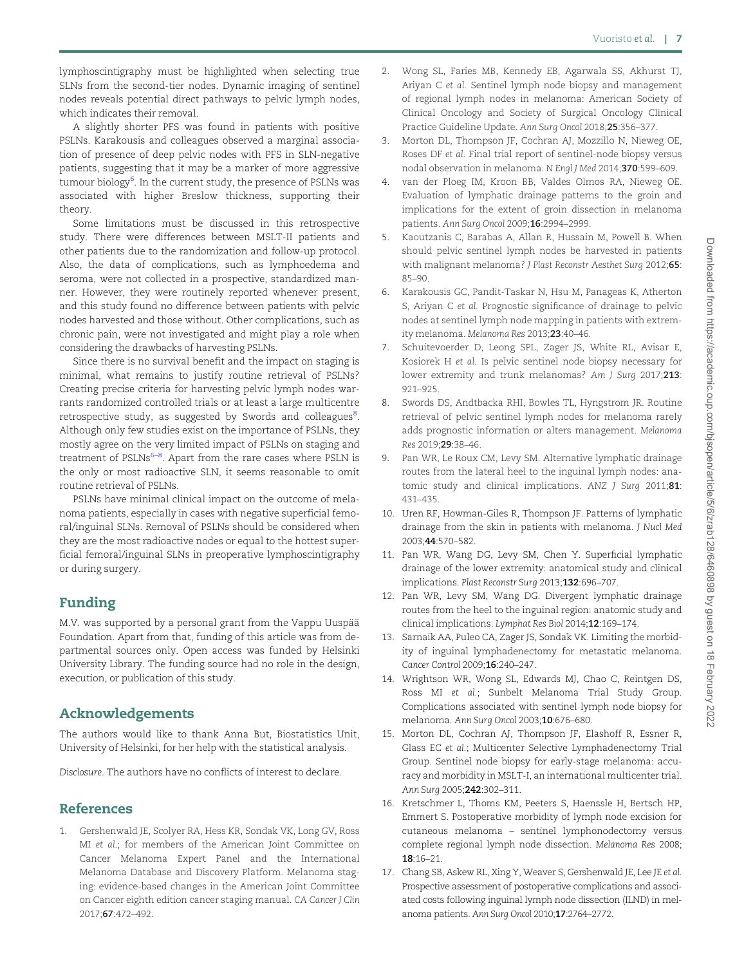lymphoscintigraphy must be highlighted when selecting true SLNs from the second-tier nodes. Dynamic imaging of sentinel nodes reveals potential direct pathways to pelvic lymph nodes, which indicates their removal.

A slightly shorter PFS was found in patients with positive PSLNs. Karakousis and colleagues observed a marginal association of presence of deep pelvic nodes with PFS in SLN-negative patients, suggesting that it may be a marker of more aggressive tumour biology<sup>6</sup>. In the current study, the presence of PSLNs was associated with higher Breslow thickness, supporting their theory.

Some limitations must be discussed in this retrospective study. There were differences between MSLT-II patients and other patients due to the randomization and follow-up protocol. Also, the data of complications, such as lymphoedema and seroma, were not collected in a prospective, standardized manner. However, they were routinely reported whenever present, and this study found no difference between patients with pelvic nodes harvested and those without. Other complications, such as chronic pain, were not investigated and might play a role when considering the drawbacks of harvesting PSLNs.

Since there is no survival benefit and the impact on staging is minimal, what remains to justify routine retrieval of PSLNs? Creating precise criteria for harvesting pelvic lymph nodes warrants randomized controlled trials or at least a large multicentre retrospective study, as suggested by Swords and colleagues<sup>8</sup>. Although only few studies exist on the importance of PSLNs, they mostly agree on the very limited impact of PSLNs on staging and treatment of PSLNs<sup>6–8</sup>. Apart from the rare cases where PSLN is the only or most radioactive SLN, it seems reasonable to omit routine retrieval of PSLNs.

PSLNs have minimal clinical impact on the outcome of melanoma patients, especially in cases with negative superficial femoral/inguinal SLNs. Removal of PSLNs should be considered when they are the most radioactive nodes or equal to the hottest superficial femoral/inguinal SLNs in preoperative lymphoscintigraphy or during surgery.

# Funding

M.V. was supported by a personal grant from the Vappu Uuspää Foundation. Apart from that, funding of this article was from departmental sources only. Open access was funded by Helsinki University Library. The funding source had no role in the design, execution, or publication of this study.

# Acknowledgements

The authors would like to thank Anna But, Biostatistics Unit, University of Helsinki, for her help with the statistical analysis.

Disclosure. The authors have no conflicts of interest to declare.

# References

1. Gershenwald JE, Scolyer RA, Hess KR, Sondak VK, Long GV, Ross MI et al.; for members of the American Joint Committee on Cancer Melanoma Expert Panel and the International Melanoma Database and Discovery Platform. Melanoma staging: evidence-based changes in the American Joint Committee on Cancer eighth edition cancer staging manual. CA Cancer J Clin 2017;67:472–492.

- 2. Wong SL, Faries MB, Kennedy EB, Agarwala SS, Akhurst TJ, Ariyan C et al. Sentinel lymph node biopsy and management of regional lymph nodes in melanoma: American Society of Clinical Oncology and Society of Surgical Oncology Clinical Practice Guideline Update. Ann Surg Oncol 2018;25:356–377.
- 3. Morton DL, Thompson JF, Cochran AJ, Mozzillo N, Nieweg OE, Roses DF et al. Final trial report of sentinel-node biopsy versus nodal observation in melanoma. N Engl J Med 2014;370:599–609.
- 4. van der Ploeg IM, Kroon BB, Valdes Olmos RA, Nieweg OE. Evaluation of lymphatic drainage patterns to the groin and implications for the extent of groin dissection in melanoma patients. Ann Surg Oncol 2009;16:2994–2999.
- 5. Kaoutzanis C, Barabas A, Allan R, Hussain M, Powell B. When should pelvic sentinel lymph nodes be harvested in patients with malignant melanoma? J Plast Reconstr Aesthet Surg 2012;65: 85–90.
- 6. Karakousis GC, Pandit-Taskar N, Hsu M, Panageas K, Atherton S, Ariyan C et al. Prognostic significance of drainage to pelvic nodes at sentinel lymph node mapping in patients with extremity melanoma. Melanoma Res 2013;23:40–46.
- 7. Schuitevoerder D, Leong SPL, Zager JS, White RL, Avisar E, Kosiorek H et al. Is pelvic sentinel node biopsy necessary for lower extremity and trunk melanomas? Am J Surg 2017;213: 921–925.
- 8. Swords DS, Andtbacka RHI, Bowles TL, Hyngstrom JR. Routine retrieval of pelvic sentinel lymph nodes for melanoma rarely adds prognostic information or alters management. Melanoma Res 2019;29:38–46.
- 9. Pan WR, Le Roux CM, Levy SM. Alternative lymphatic drainage routes from the lateral heel to the inguinal lymph nodes: anatomic study and clinical implications. ANZ J Surg 2011;81: 431–435.
- 10. Uren RF, Howman-Giles R, Thompson JF. Patterns of lymphatic drainage from the skin in patients with melanoma. J Nucl Med 2003;44:570–582.
- 11. Pan WR, Wang DG, Levy SM, Chen Y. Superficial lymphatic drainage of the lower extremity: anatomical study and clinical implications. Plast Reconstr Surg 2013;132:696–707.
- 12. Pan WR, Levy SM, Wang DG. Divergent lymphatic drainage routes from the heel to the inguinal region: anatomic study and clinical implications. Lymphat Res Biol 2014;12:169–174.
- 13. Sarnaik AA, Puleo CA, Zager JS, Sondak VK. Limiting the morbidity of inguinal lymphadenectomy for metastatic melanoma. Cancer Control 2009;16:240–247.
- 14. Wrightson WR, Wong SL, Edwards MJ, Chao C, Reintgen DS, Ross MI et al.; Sunbelt Melanoma Trial Study Group. Complications associated with sentinel lymph node biopsy for melanoma. Ann Surg Oncol 2003;10:676–680.
- 15. Morton DL, Cochran AJ, Thompson JF, Elashoff R, Essner R, Glass EC et al.; Multicenter Selective Lymphadenectomy Trial Group. Sentinel node biopsy for early-stage melanoma: accuracy and morbidity in MSLT-I, an international multicenter trial. Ann Surg 2005;242:302–311.
- 16. Kretschmer L, Thoms KM, Peeters S, Haenssle H, Bertsch HP, Emmert S. Postoperative morbidity of lymph node excision for cutaneous melanoma – sentinel lymphonodectomy versus complete regional lymph node dissection. Melanoma Res 2008; 18:16–21.
- 17. Chang SB, Askew RL, Xing Y, Weaver S, Gershenwald JE, Lee JE et al. Prospective assessment of postoperative complications and associated costs following inguinal lymph node dissection (ILND) in melanoma patients. Ann Surg Oncol 2010;17:2764–2772.